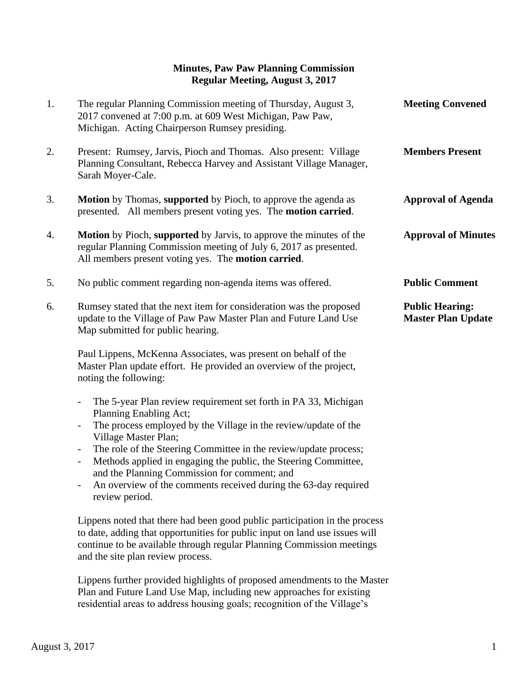## **Minutes, Paw Paw Planning Commission Regular Meeting, August 3, 2017**

| 1. | The regular Planning Commission meeting of Thursday, August 3,<br>2017 convened at 7:00 p.m. at 609 West Michigan, Paw Paw,<br>Michigan. Acting Chairperson Rumsey presiding.                                                                                                                                                                                                                                                                                                                                                                                                        | <b>Meeting Convened</b>                             |
|----|--------------------------------------------------------------------------------------------------------------------------------------------------------------------------------------------------------------------------------------------------------------------------------------------------------------------------------------------------------------------------------------------------------------------------------------------------------------------------------------------------------------------------------------------------------------------------------------|-----------------------------------------------------|
| 2. | Present: Rumsey, Jarvis, Pioch and Thomas. Also present: Village<br>Planning Consultant, Rebecca Harvey and Assistant Village Manager,<br>Sarah Moyer-Cale.                                                                                                                                                                                                                                                                                                                                                                                                                          | <b>Members Present</b>                              |
| 3. | <b>Motion</b> by Thomas, supported by Pioch, to approve the agenda as<br>presented. All members present voting yes. The motion carried.                                                                                                                                                                                                                                                                                                                                                                                                                                              | <b>Approval of Agenda</b>                           |
| 4. | <b>Motion</b> by Pioch, supported by Jarvis, to approve the minutes of the<br>regular Planning Commission meeting of July 6, 2017 as presented.<br>All members present voting yes. The motion carried.                                                                                                                                                                                                                                                                                                                                                                               | <b>Approval of Minutes</b>                          |
| 5. | No public comment regarding non-agenda items was offered.                                                                                                                                                                                                                                                                                                                                                                                                                                                                                                                            | <b>Public Comment</b>                               |
| 6. | Rumsey stated that the next item for consideration was the proposed<br>update to the Village of Paw Paw Master Plan and Future Land Use<br>Map submitted for public hearing.                                                                                                                                                                                                                                                                                                                                                                                                         | <b>Public Hearing:</b><br><b>Master Plan Update</b> |
|    | Paul Lippens, McKenna Associates, was present on behalf of the<br>Master Plan update effort. He provided an overview of the project,<br>noting the following:                                                                                                                                                                                                                                                                                                                                                                                                                        |                                                     |
|    | The 5-year Plan review requirement set forth in PA 33, Michigan<br>$\overline{\phantom{0}}$<br>Planning Enabling Act;<br>The process employed by the Village in the review/update of the<br>$\qquad \qquad \blacksquare$<br>Village Master Plan;<br>The role of the Steering Committee in the review/update process;<br>$\overline{\phantom{a}}$<br>Methods applied in engaging the public, the Steering Committee,<br>$\overline{\phantom{0}}$<br>and the Planning Commission for comment; and<br>An overview of the comments received during the 63-day required<br>review period. |                                                     |
|    | Lippens noted that there had been good public participation in the process<br>to date, adding that opportunities for public input on land use issues will<br>continue to be available through regular Planning Commission meetings<br>and the site plan review process.                                                                                                                                                                                                                                                                                                              |                                                     |

 Lippens further provided highlights of proposed amendments to the Master Plan and Future Land Use Map, including new approaches for existing residential areas to address housing goals; recognition of the Village's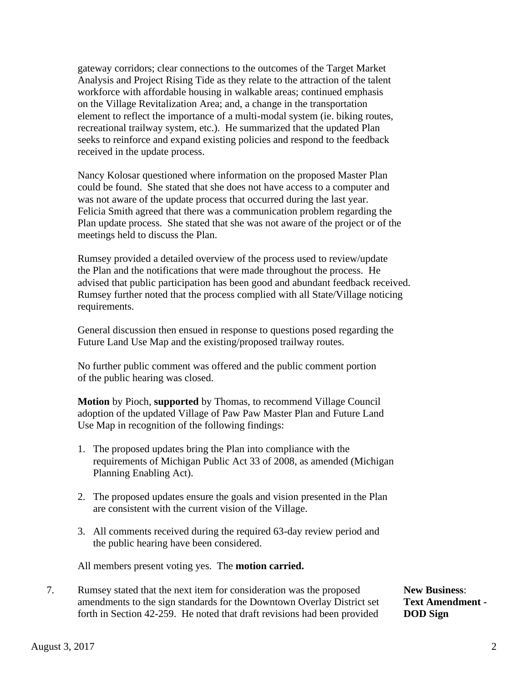gateway corridors; clear connections to the outcomes of the Target Market Analysis and Project Rising Tide as they relate to the attraction of the talent workforce with affordable housing in walkable areas; continued emphasis on the Village Revitalization Area; and, a change in the transportation element to reflect the importance of a multi-modal system (ie. biking routes, recreational trailway system, etc.). He summarized that the updated Plan seeks to reinforce and expand existing policies and respond to the feedback received in the update process.

 Nancy Kolosar questioned where information on the proposed Master Plan could be found. She stated that she does not have access to a computer and was not aware of the update process that occurred during the last year. Felicia Smith agreed that there was a communication problem regarding the Plan update process. She stated that she was not aware of the project or of the meetings held to discuss the Plan.

 Rumsey provided a detailed overview of the process used to review/update the Plan and the notifications that were made throughout the process. He advised that public participation has been good and abundant feedback received. Rumsey further noted that the process complied with all State/Village noticing requirements.

 General discussion then ensued in response to questions posed regarding the Future Land Use Map and the existing/proposed trailway routes.

 No further public comment was offered and the public comment portion of the public hearing was closed.

 **Motion** by Pioch, **supported** by Thomas, to recommend Village Council adoption of the updated Village of Paw Paw Master Plan and Future Land Use Map in recognition of the following findings:

- 1. The proposed updates bring the Plan into compliance with the requirements of Michigan Public Act 33 of 2008, as amended (Michigan Planning Enabling Act).
- 2. The proposed updates ensure the goals and vision presented in the Plan are consistent with the current vision of the Village.
- 3. All comments received during the required 63-day review period and the public hearing have been considered.

All members present voting yes. The **motion carried.**

7. Rumsey stated that the next item for consideration was the proposed **New Business**: amendments to the sign standards for the Downtown Overlay District set **Text Amendment**  forth in Section 42-259. He noted that draft revisions had been provided **DOD Sign**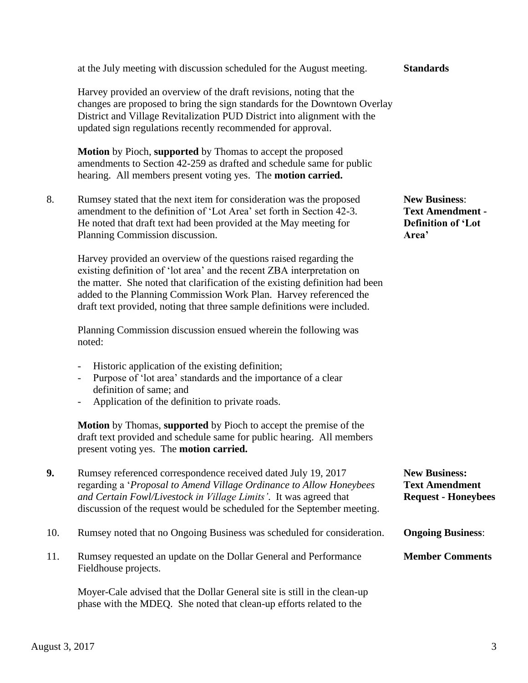## Harvey provided an overview of the draft revisions, noting that the changes are proposed to bring the sign standards for the Downtown Overlay District and Village Revitalization PUD District into alignment with the updated sign regulations recently recommended for approval.

 **Motion** by Pioch, **supported** by Thomas to accept the proposed amendments to Section 42-259 as drafted and schedule same for public hearing. All members present voting yes. The **motion carried.**

8. Rumsey stated that the next item for consideration was the proposed **New Business**: amendment to the definition of 'Lot Area' set forth in Section 42-3. **Text Amendment -** He noted that draft text had been provided at the May meeting for **Definition of 'Lot**  Planning Commission discussion. **Area'**

 Harvey provided an overview of the questions raised regarding the existing definition of 'lot area' and the recent ZBA interpretation on the matter. She noted that clarification of the existing definition had been added to the Planning Commission Work Plan. Harvey referenced the draft text provided, noting that three sample definitions were included.

 Planning Commission discussion ensued wherein the following was noted:

- Historic application of the existing definition;
- Purpose of 'lot area' standards and the importance of a clear definition of same; and
- Application of the definition to private roads.

 **Motion** by Thomas, **supported** by Pioch to accept the premise of the draft text provided and schedule same for public hearing. All members present voting yes. The **motion carried.**

phase with the MDEQ. She noted that clean-up efforts related to the

| 9.  | Rumsey referenced correspondence received dated July 19, 2017<br>regarding a 'Proposal to Amend Village Ordinance to Allow Honeybees<br>and Certain Fowl/Livestock in Village Limits'. It was agreed that<br>discussion of the request would be scheduled for the September meeting. | <b>New Business:</b><br><b>Text Amendment</b><br><b>Request - Honeybees</b> |
|-----|--------------------------------------------------------------------------------------------------------------------------------------------------------------------------------------------------------------------------------------------------------------------------------------|-----------------------------------------------------------------------------|
| 10. | Rumsey noted that no Ongoing Business was scheduled for consideration.                                                                                                                                                                                                               | <b>Ongoing Business:</b>                                                    |
| 11. | Rumsey requested an update on the Dollar General and Performance<br>Fieldhouse projects.                                                                                                                                                                                             | <b>Member Comments</b>                                                      |
|     | Moyer-Cale advised that the Dollar General site is still in the clean-up                                                                                                                                                                                                             |                                                                             |

## at the July meeting with discussion scheduled for the August meeting. **Standards**